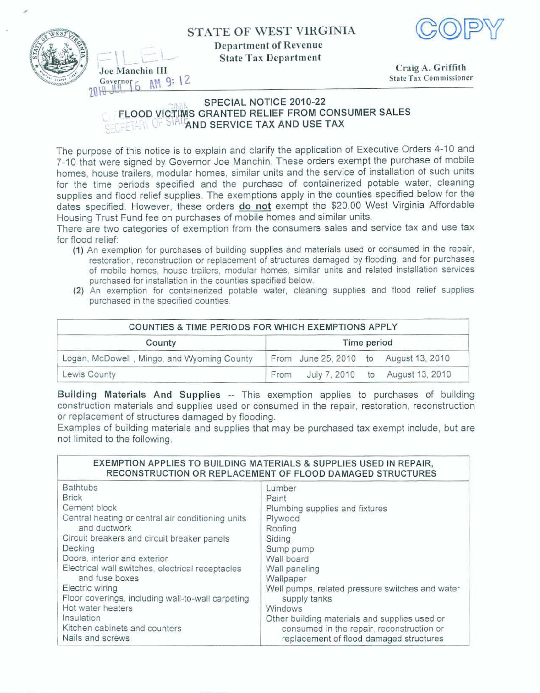**STATE OF WEST VIRGINLA** 



**Department of Revenue State Tax Department** 



- - **Joe Manchin III Craig A. Griffith Craig A. Griffith State Tax Commissioner C.V. ...**<br> **C.V. ...**<br> **C.V. ...**<br> **C.V. ...**<br> **C.V. ...**<br> **C.V. ...**<br> **C.V. ...**<br> **C.V. ...**<br> **C.V. ...**<br> **C.V. ...**<br> **C.V. ...**<br> **C.V. ...**<br> **C.V. ...**<br> **C.V. ...**<br> **C.V. ....**<br> **C.V. ....**<br> **C.V. ...................... 7ad** 

## -- **SPECIAL NOTICE 2010-22 FLOOD VICTIMS GRANTED RELIEF FROM CONSUMER SALES LEFEIFING OF OWN AND SERVICE TAX AND USE TAX**

**The purpose of this** notice **is** to explain **and** clarify the application of **Executive Orders 4-10 and 7-10 that were signed by Governor** Joe Manchin. **These orders exempt the** purchase of **mobile homes, house trailers, modular homes, similar units and the service of instaljation of such units**  for **the** time **periods specified and the purchase of containerized potable water, cleaning supplies and flood relief supplies. The exemptions apply** in the **counties specified below for the dates specified.** Hewever, **these orders do not exempt** the **\$20.00 West** Virginia **Affordable Housing Trust Fund** fee on **purchases of mobile** homes **and similar units.** 

There are two categories of exemption from the consumers sales and service tax and use tax for **flood relief:** 

- **(1) An exemption for purchases of building supplies and materials used or consumed in the repair, restoration, reconstruction or replacement of structures damaged by flooding, and** for **purchases of mobile homes, house trailers, modular homes, similar units and related installation services purchased for installation in the counties specified below.**
- **(2) An exemption for containerized potable water, cleaning supplies and flood relief supplies purchased in the specified counties.**

| COUNTIES & TIME PERIODS FOR WHICH EXEMPTIONS APPLY |                                         |  |
|----------------------------------------------------|-----------------------------------------|--|
| County                                             | Time period                             |  |
| Logan, McDowell, Mingo, and Wyoming County         | From June 25, 2010 to August 13, 2010   |  |
| Lewis County                                       | July 7, 2010 to August 13, 2010<br>From |  |

**Building Materials And Supplies** - **This exemption applies** to **purchases of building construction materials and supplies used or consumed in the** repair, restoration, reconstruction or **replacement of structures dam aged by flooding.** 

**Examples** of **building materials and supplies** that **may be purchased** tax **exempt include, but are**  not **limited to the following.** 

| EXEMPTION APPLIES TO BUILDING MATERIALS & SUPPLIES USED IN REPAIR,<br>RECONSTRUCTION OR REPLACEMENT OF FLOOD DAMAGED STRUCTURES |                                                 |  |
|---------------------------------------------------------------------------------------------------------------------------------|-------------------------------------------------|--|
| <b>Bathtubs</b>                                                                                                                 | Lumber                                          |  |
| <b>Brick</b>                                                                                                                    | Paint                                           |  |
| Cement block                                                                                                                    | Plumbing supplies and fixtures                  |  |
| Central heating or central air conditioning units                                                                               | Plywood                                         |  |
| and ductwork                                                                                                                    | Roofing                                         |  |
| Circuit breakers and circuit breaker panels                                                                                     | Siding                                          |  |
| Decking                                                                                                                         | Sump pump                                       |  |
| Doors, interior and exterior                                                                                                    | Wall board                                      |  |
| Electrical wall switches, electrical receptacles                                                                                | Wall paneling                                   |  |
| and fuse boxes                                                                                                                  | Wallpaper                                       |  |
| Electric wiring                                                                                                                 | Well pumps, related pressure switches and water |  |
| Floor coverings, including wall-to-wall carpeting                                                                               | supply tanks                                    |  |
| Hot water heaters                                                                                                               | Windows                                         |  |
| Insulation                                                                                                                      | Other building materials and supplies used or   |  |
| Kitchen cabinets and counters                                                                                                   | consumed in the repair, reconstruction or       |  |
| Nails and screws                                                                                                                | replacement of flood damaged structures         |  |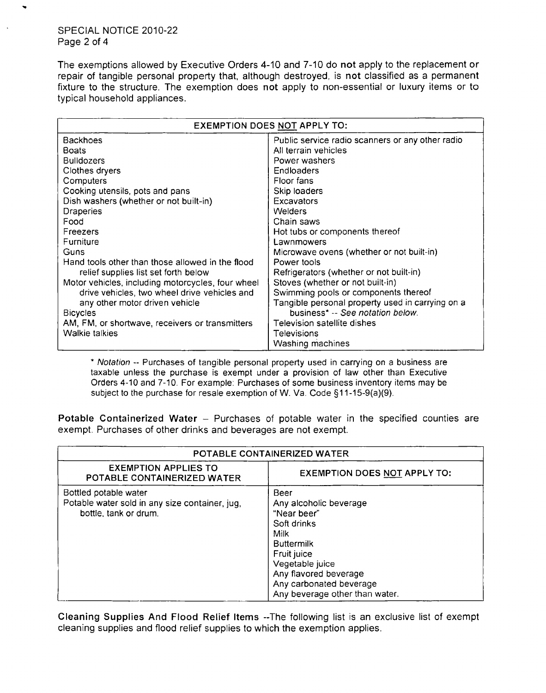## SPECIAL NOTICE 2010-22 Page 2 of 4

The exemptions allowed by Executive Orders 4-10 and 7-10 do not apply to the replacement or repair of tangible personal property that, although destroyed, is not classified as a permanent fixture to the structure. The exemption does not apply to non-essential or luxury items or to typical household appliances.

| EXEMPTION DOES NOT APPLY TO:                      |                                                  |  |
|---------------------------------------------------|--------------------------------------------------|--|
| <b>Backhoes</b>                                   | Public service radio scanners or any other radio |  |
| <b>Boats</b>                                      | All terrain vehicles                             |  |
| <b>Bulldozers</b>                                 | Power washers                                    |  |
| Clothes dryers                                    | Endloaders                                       |  |
| Computers                                         | Floor fans                                       |  |
| Cooking utensils, pots and pans                   | Skip loaders                                     |  |
| Dish washers (whether or not built-in)            | Excavators                                       |  |
| Draperies                                         | <b>Welders</b>                                   |  |
| Food                                              | Chain saws                                       |  |
| Freezers                                          | Hot tubs or components thereof                   |  |
| Furniture                                         | Lawnmowers                                       |  |
| Guns                                              | Microwave ovens (whether or not built-in)        |  |
| Hand tools other than those allowed in the flood  | Power tools                                      |  |
| relief supplies list set forth below              | Refrigerators (whether or not built-in)          |  |
| Motor vehicles, including motorcycles, four wheel | Stoves (whether or not built-in)                 |  |
| drive vehicles, two wheel drive vehicles and      | Swimming pools or components thereof             |  |
| any other motor driven vehicle                    | Tangible personal property used in carrying on a |  |
| <b>Bicycles</b>                                   | business* -- See notation below.                 |  |
| AM, FM, or shortwave, receivers or transmitters   | Television satellite dishes                      |  |
| Walkie talkies                                    | Televisions                                      |  |
|                                                   | Washing machines                                 |  |

\* Notation -- Purchases of tangible personal property used in carrying on a business are taxable unless the purchase is exempt under a provision of law other than Executive Orders 4-10 and 7-10. For example: Purchases of some business inventory items may be subject to the purchase for resale exemption of W. Va. Code §11-15-9(a)(9).

Potable Containerized Water - Purchases of potable water in the specified counties are exempt. Purchases of other drinks and beverages are not exempt.

| POTABLE CONTAINERIZED WATER                                                                      |                                                                                                                                                                                                                          |
|--------------------------------------------------------------------------------------------------|--------------------------------------------------------------------------------------------------------------------------------------------------------------------------------------------------------------------------|
| <b>EXEMPTION APPLIES TO</b><br><b>POTABLE CONTAINERIZED WATER</b>                                | <b>EXEMPTION DOES NOT APPLY TO:</b>                                                                                                                                                                                      |
| Bottled potable water<br>Potable water sold in any size container, jug,<br>bottle, tank or drum. | Beer<br>Any alcoholic beverage<br>"Near beer"<br>Soft drinks<br><b>Milk</b><br><b>Buttermilk</b><br>Fruit juice<br>Vegetable juice<br>Any flavored beverage<br>Any carbonated beverage<br>Any beverage other than water. |

Cleaning Supplies And Flood Relief Items --The following list is an exclusive list of exempt cleaning supplies and flood relief supplies to which the exemption applies.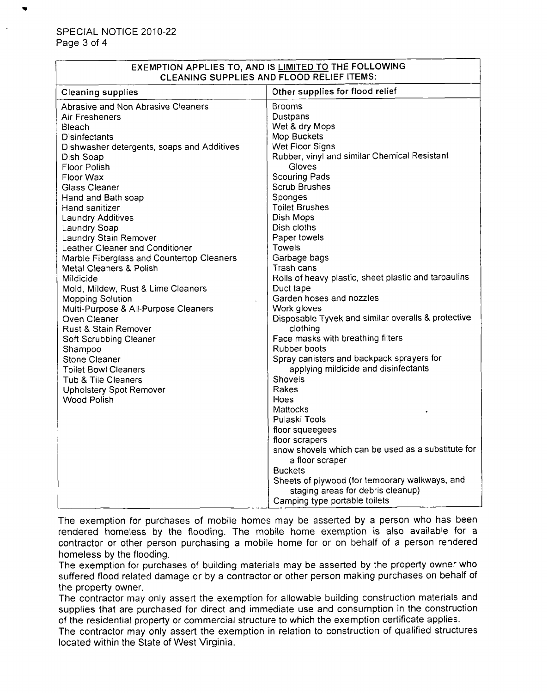| EXEMPTION APPLIES TO, AND IS LIMITED TO THE FOLLOWING |
|-------------------------------------------------------|
| CLEANING SUPPLIES AND FLOOD RELIEF ITEMS:             |

| <b>Cleaning supplies</b>                                                                                                                                                                                                                                                                                                                                                                                                                              | Other supplies for flood relief                                                                                                                                                                                                                                                                                                                                                                                                                                                                                                                                                                                                                                                                          |
|-------------------------------------------------------------------------------------------------------------------------------------------------------------------------------------------------------------------------------------------------------------------------------------------------------------------------------------------------------------------------------------------------------------------------------------------------------|----------------------------------------------------------------------------------------------------------------------------------------------------------------------------------------------------------------------------------------------------------------------------------------------------------------------------------------------------------------------------------------------------------------------------------------------------------------------------------------------------------------------------------------------------------------------------------------------------------------------------------------------------------------------------------------------------------|
| <b>Abrasive and Non Abrasive Cleaners</b>                                                                                                                                                                                                                                                                                                                                                                                                             | <b>Brooms</b>                                                                                                                                                                                                                                                                                                                                                                                                                                                                                                                                                                                                                                                                                            |
| Air Fresheners                                                                                                                                                                                                                                                                                                                                                                                                                                        | Dustpans                                                                                                                                                                                                                                                                                                                                                                                                                                                                                                                                                                                                                                                                                                 |
| Bleach                                                                                                                                                                                                                                                                                                                                                                                                                                                | Wet & dry Mops                                                                                                                                                                                                                                                                                                                                                                                                                                                                                                                                                                                                                                                                                           |
| <b>Disinfectants</b>                                                                                                                                                                                                                                                                                                                                                                                                                                  | Mop Buckets                                                                                                                                                                                                                                                                                                                                                                                                                                                                                                                                                                                                                                                                                              |
| Dishwasher detergents, soaps and Additives                                                                                                                                                                                                                                                                                                                                                                                                            | Wet Floor Signs                                                                                                                                                                                                                                                                                                                                                                                                                                                                                                                                                                                                                                                                                          |
| Dish Soap                                                                                                                                                                                                                                                                                                                                                                                                                                             | Rubber, vinyl and similar Chemical Resistant                                                                                                                                                                                                                                                                                                                                                                                                                                                                                                                                                                                                                                                             |
| Floor Polish                                                                                                                                                                                                                                                                                                                                                                                                                                          | Gloves                                                                                                                                                                                                                                                                                                                                                                                                                                                                                                                                                                                                                                                                                                   |
| Floor Wax                                                                                                                                                                                                                                                                                                                                                                                                                                             | Scouring Pads                                                                                                                                                                                                                                                                                                                                                                                                                                                                                                                                                                                                                                                                                            |
| <b>Glass Cleaner</b>                                                                                                                                                                                                                                                                                                                                                                                                                                  | <b>Scrub Brushes</b>                                                                                                                                                                                                                                                                                                                                                                                                                                                                                                                                                                                                                                                                                     |
| Hand and Bath soap                                                                                                                                                                                                                                                                                                                                                                                                                                    | Sponges                                                                                                                                                                                                                                                                                                                                                                                                                                                                                                                                                                                                                                                                                                  |
| Hand sanitizer                                                                                                                                                                                                                                                                                                                                                                                                                                        | <b>Toilet Brushes</b>                                                                                                                                                                                                                                                                                                                                                                                                                                                                                                                                                                                                                                                                                    |
| Laundry Additives                                                                                                                                                                                                                                                                                                                                                                                                                                     | Dish Mops                                                                                                                                                                                                                                                                                                                                                                                                                                                                                                                                                                                                                                                                                                |
| Laundry Soap                                                                                                                                                                                                                                                                                                                                                                                                                                          | Dish cloths                                                                                                                                                                                                                                                                                                                                                                                                                                                                                                                                                                                                                                                                                              |
|                                                                                                                                                                                                                                                                                                                                                                                                                                                       |                                                                                                                                                                                                                                                                                                                                                                                                                                                                                                                                                                                                                                                                                                          |
|                                                                                                                                                                                                                                                                                                                                                                                                                                                       |                                                                                                                                                                                                                                                                                                                                                                                                                                                                                                                                                                                                                                                                                                          |
|                                                                                                                                                                                                                                                                                                                                                                                                                                                       |                                                                                                                                                                                                                                                                                                                                                                                                                                                                                                                                                                                                                                                                                                          |
|                                                                                                                                                                                                                                                                                                                                                                                                                                                       |                                                                                                                                                                                                                                                                                                                                                                                                                                                                                                                                                                                                                                                                                                          |
| Mildicide                                                                                                                                                                                                                                                                                                                                                                                                                                             |                                                                                                                                                                                                                                                                                                                                                                                                                                                                                                                                                                                                                                                                                                          |
|                                                                                                                                                                                                                                                                                                                                                                                                                                                       |                                                                                                                                                                                                                                                                                                                                                                                                                                                                                                                                                                                                                                                                                                          |
|                                                                                                                                                                                                                                                                                                                                                                                                                                                       |                                                                                                                                                                                                                                                                                                                                                                                                                                                                                                                                                                                                                                                                                                          |
|                                                                                                                                                                                                                                                                                                                                                                                                                                                       |                                                                                                                                                                                                                                                                                                                                                                                                                                                                                                                                                                                                                                                                                                          |
|                                                                                                                                                                                                                                                                                                                                                                                                                                                       |                                                                                                                                                                                                                                                                                                                                                                                                                                                                                                                                                                                                                                                                                                          |
|                                                                                                                                                                                                                                                                                                                                                                                                                                                       |                                                                                                                                                                                                                                                                                                                                                                                                                                                                                                                                                                                                                                                                                                          |
|                                                                                                                                                                                                                                                                                                                                                                                                                                                       |                                                                                                                                                                                                                                                                                                                                                                                                                                                                                                                                                                                                                                                                                                          |
|                                                                                                                                                                                                                                                                                                                                                                                                                                                       |                                                                                                                                                                                                                                                                                                                                                                                                                                                                                                                                                                                                                                                                                                          |
|                                                                                                                                                                                                                                                                                                                                                                                                                                                       |                                                                                                                                                                                                                                                                                                                                                                                                                                                                                                                                                                                                                                                                                                          |
|                                                                                                                                                                                                                                                                                                                                                                                                                                                       |                                                                                                                                                                                                                                                                                                                                                                                                                                                                                                                                                                                                                                                                                                          |
|                                                                                                                                                                                                                                                                                                                                                                                                                                                       |                                                                                                                                                                                                                                                                                                                                                                                                                                                                                                                                                                                                                                                                                                          |
|                                                                                                                                                                                                                                                                                                                                                                                                                                                       |                                                                                                                                                                                                                                                                                                                                                                                                                                                                                                                                                                                                                                                                                                          |
|                                                                                                                                                                                                                                                                                                                                                                                                                                                       |                                                                                                                                                                                                                                                                                                                                                                                                                                                                                                                                                                                                                                                                                                          |
|                                                                                                                                                                                                                                                                                                                                                                                                                                                       |                                                                                                                                                                                                                                                                                                                                                                                                                                                                                                                                                                                                                                                                                                          |
|                                                                                                                                                                                                                                                                                                                                                                                                                                                       |                                                                                                                                                                                                                                                                                                                                                                                                                                                                                                                                                                                                                                                                                                          |
|                                                                                                                                                                                                                                                                                                                                                                                                                                                       |                                                                                                                                                                                                                                                                                                                                                                                                                                                                                                                                                                                                                                                                                                          |
|                                                                                                                                                                                                                                                                                                                                                                                                                                                       |                                                                                                                                                                                                                                                                                                                                                                                                                                                                                                                                                                                                                                                                                                          |
|                                                                                                                                                                                                                                                                                                                                                                                                                                                       |                                                                                                                                                                                                                                                                                                                                                                                                                                                                                                                                                                                                                                                                                                          |
|                                                                                                                                                                                                                                                                                                                                                                                                                                                       |                                                                                                                                                                                                                                                                                                                                                                                                                                                                                                                                                                                                                                                                                                          |
|                                                                                                                                                                                                                                                                                                                                                                                                                                                       |                                                                                                                                                                                                                                                                                                                                                                                                                                                                                                                                                                                                                                                                                                          |
|                                                                                                                                                                                                                                                                                                                                                                                                                                                       |                                                                                                                                                                                                                                                                                                                                                                                                                                                                                                                                                                                                                                                                                                          |
|                                                                                                                                                                                                                                                                                                                                                                                                                                                       |                                                                                                                                                                                                                                                                                                                                                                                                                                                                                                                                                                                                                                                                                                          |
| Laundry Stain Remover<br>Leather Cleaner and Conditioner<br>Marble Fiberglass and Countertop Cleaners<br>Metal Cleaners & Polish<br>Mold, Mildew, Rust & Lime Cleaners<br><b>Mopping Solution</b><br>Multi-Purpose & All-Purpose Cleaners<br>Oven Cleaner<br>Rust & Stain Remover<br>Soft Scrubbing Cleaner<br>Shampoo<br>Stone Cleaner<br><b>Toilet Bowl Cleaners</b><br>Tub & Tile Cleaners<br><b>Upholstery Spot Remover</b><br><b>Wood Polish</b> | Paper towels<br>Towels<br>Garbage bags<br>Trash cans<br>Rolls of heavy plastic, sheet plastic and tarpaulins<br>Duct tape<br>Garden hoses and nozzles<br>Work gloves<br>Disposable Tyvek and similar overalls & protective<br>clothing<br>Face masks with breathing filters<br>Rubber boots<br>Spray canisters and backpack sprayers for<br>applying mildicide and disinfectants<br>Shovels<br>Rakes<br>Hoes<br><b>Mattocks</b><br>Pulaski Tools<br>floor squeegees<br>floor scrapers<br>snow shovels which can be used as a substitute for<br>a floor scraper<br><b>Buckets</b><br>Sheets of plywood (for temporary walkways, and<br>staging areas for debris cleanup)<br>Camping type portable toilets |

The exemption for purchases of mobile homes may be asserted by a person who has been rendered homeless by the flooding. The mobile home exemption is also available for a contractor or other person purchasing a mobile home for or on behalf of a person rendered homeless by the flooding.

The exemption for purchases of building materials may be asserted by the property owner who suffered flood related damage or by a contractor or other person making purchases on behalf of the property owner.

The contractor may only assert the exemption for allowable building construction materials and supplies that are purchased for direct and immediate use and consumption in the construction of the residential property or commercial structure to which the exemption certificate applies.

The contractor may only assert the exemption in relation to construction of qualified structures located within the State of West Virginia.